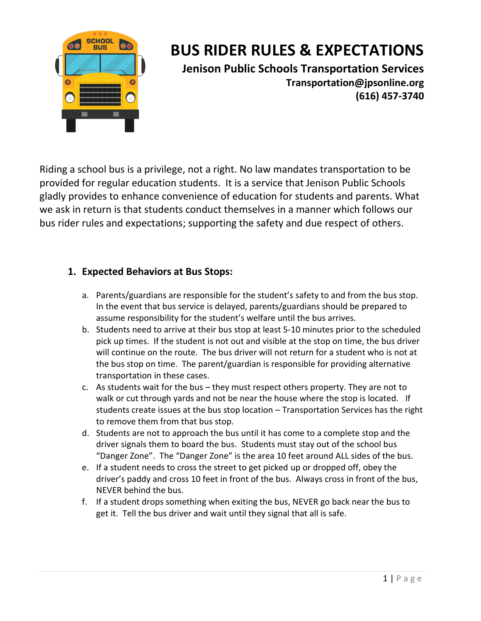

# **BUS RIDER RULES & EXPECTATIONS**

 **(616) 457-3740 Jenison Public Schools Transportation Services [Transportation@jpsonline.org](mailto:Transportation@jpsonline.org)** 

 Riding a school bus is a privilege, not a right. No law mandates transportation to be provided for regular education students. It is a service that Jenison Public Schools gladly provides to enhance convenience of education for students and parents. What we ask in return is that students conduct themselves in a manner which follows our bus rider rules and expectations; supporting the safety and due respect of others.

# **1. Expected Behaviors at Bus Stops:**

- a. Parents/guardians are responsible for the student's safety to and from the bus stop. In the event that bus service is delayed, parents/guardians should be prepared to assume responsibility for the student's welfare until the bus arrives.
- b. Students need to arrive at their bus stop at least 5-10 minutes prior to the scheduled pick up times. If the student is not out and visible at the stop on time, the bus driver will continue on the route. The bus driver will not return for a student who is not at the bus stop on time. The parent/guardian is responsible for providing alternative transportation in these cases.
- c. As students wait for the bus they must respect others property. They are not to walk or cut through yards and not be near the house where the stop is located. If students create issues at the bus stop location – Transportation Services has the right to remove them from that bus stop.
- d. Students are not to approach the bus until it has come to a complete stop and the driver signals them to board the bus. Students must stay out of the school bus "Danger Zone". The "Danger Zone" is the area 10 feet around ALL sides of the bus.
- e. If a student needs to cross the street to get picked up or dropped off, obey the driver's paddy and cross 10 feet in front of the bus. Always cross in front of the bus, NEVER behind the bus.
- f. If a student drops something when exiting the bus, NEVER go back near the bus to get it. Tell the bus driver and wait until they signal that all is safe.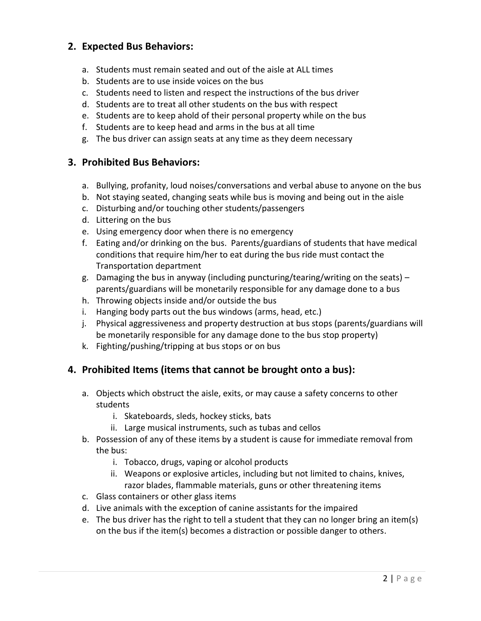# **2. Expected Bus Behaviors:**

- a. Students must remain seated and out of the aisle at ALL times
- b. Students are to use inside voices on the bus
- c. Students need to listen and respect the instructions of the bus driver
- d. Students are to treat all other students on the bus with respect
- e. Students are to keep ahold of their personal property while on the bus
- f. Students are to keep head and arms in the bus at all time
- g. The bus driver can assign seats at any time as they deem necessary

# **3. Prohibited Bus Behaviors:**

- a. Bullying, profanity, loud noises/conversations and verbal abuse to anyone on the bus
- b. Not staying seated, changing seats while bus is moving and being out in the aisle
- c. Disturbing and/or touching other students/passengers
- d. Littering on the bus
- e. Using emergency door when there is no emergency
- f. Eating and/or drinking on the bus. Parents/guardians of students that have medical conditions that require him/her to eat during the bus ride must contact the Transportation department
- g. Damaging the bus in anyway (including puncturing/tearing/writing on the seats) parents/guardians will be monetarily responsible for any damage done to a bus
- h. Throwing objects inside and/or outside the bus
- i. Hanging body parts out the bus windows (arms, head, etc.)
- j. Physical aggressiveness and property destruction at bus stops (parents/guardians will be monetarily responsible for any damage done to the bus stop property)
- k. Fighting/pushing/tripping at bus stops or on bus

# **4. Prohibited Items (items that cannot be brought onto a bus):**

- a. Objects which obstruct the aisle, exits, or may cause a safety concerns to other students
	- i. Skateboards, sleds, hockey sticks, bats
	- ii. Large musical instruments, such as tubas and cellos
- b. Possession of any of these items by a student is cause for immediate removal from the bus:
	- i. Tobacco, drugs, vaping or alcohol products
	- ii. Weapons or explosive articles, including but not limited to chains, knives, razor blades, flammable materials, guns or other threatening items
- c. Glass containers or other glass items
- d. Live animals with the exception of canine assistants for the impaired
- e. The bus driver has the right to tell a student that they can no longer bring an item(s) on the bus if the item(s) becomes a distraction or possible danger to others.